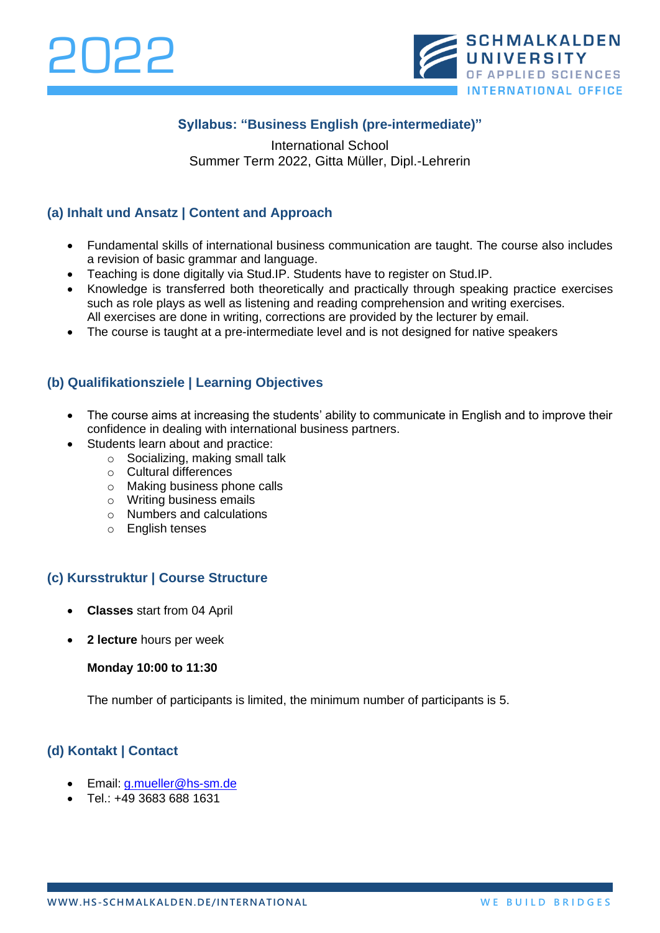

## **Syllabus: "Business English (pre-intermediate)"**

International School Summer Term 2022, Gitta Müller, Dipl.-Lehrerin

### **(a) Inhalt und Ansatz | Content and Approach**

- Fundamental skills of international business communication are taught. The course also includes a revision of basic grammar and language.
- Teaching is done digitally via Stud.IP. Students have to register on Stud.IP.
- Knowledge is transferred both theoretically and practically through speaking practice exercises such as role plays as well as listening and reading comprehension and writing exercises. All exercises are done in writing, corrections are provided by the lecturer by email.
- The course is taught at a pre-intermediate level and is not designed for native speakers

#### **(b) Qualifikationsziele | Learning Objectives**

- The course aims at increasing the students' ability to communicate in English and to improve their confidence in dealing with international business partners.
- Students learn about and practice:
	- o Socializing, making small talk
	- o Cultural differences
	- o Making business phone calls
	- o Writing business emails
	- o Numbers and calculations
	- o English tenses

### **(c) Kursstruktur | Course Structure**

- **Classes** start from 04 April
- **2 lecture** hours per week

#### **Monday 10:00 to 11:30**

The number of participants is limited, the minimum number of participants is 5.

### **(d) Kontakt | Contact**

- Email: [g.mueller@hs-sm.de](mailto:g.mueller@hs-sm.de)
- Tel.: +49 3683 688 1631